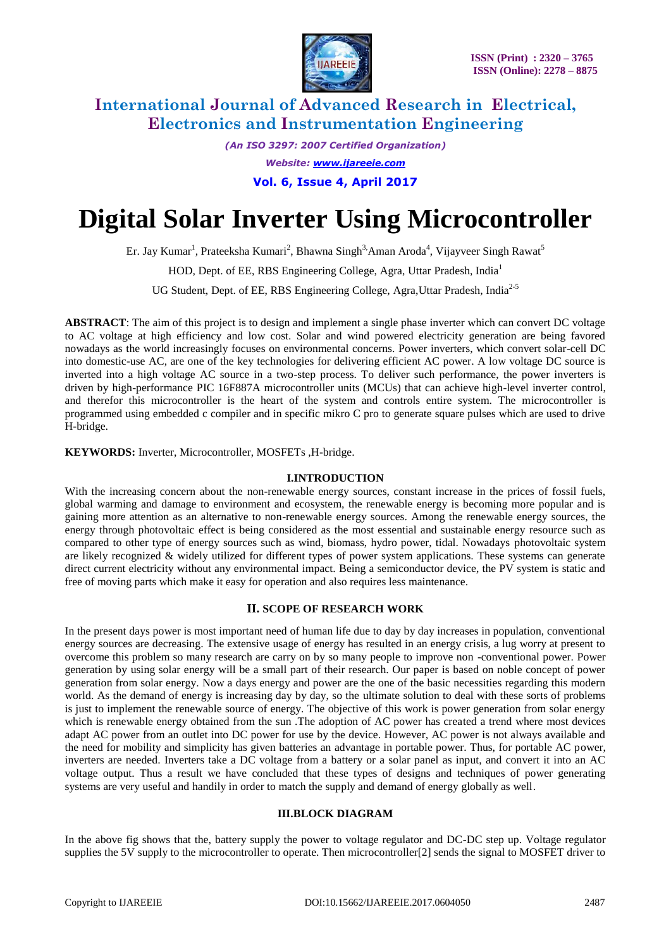

*(An ISO 3297: 2007 Certified Organization) Website: [www.ijareeie.com](http://www.ijareeie.com/)* **Vol. 6, Issue 4, April 2017**

# **Digital Solar Inverter Using Microcontroller**

Er. Jay Kumar<sup>1</sup>, Prateeksha Kumari<sup>2</sup>, Bhawna Singh<sup>3,</sup>Aman Aroda<sup>4</sup>, Vijayveer Singh Rawat<sup>5</sup>

HOD, Dept. of EE, RBS Engineering College, Agra, Uttar Pradesh, India<sup>1</sup>

UG Student, Dept. of EE, RBS Engineering College, Agra, Uttar Pradesh, India<sup>2-5</sup>

**ABSTRACT**: The aim of this project is to design and implement a single phase inverter which can convert DC voltage to AC voltage at high efficiency and low cost. Solar and wind powered electricity generation are being favored nowadays as the world increasingly focuses on environmental concerns. Power inverters, which convert solar-cell DC into domestic-use AC, are one of the key technologies for delivering efficient AC power. A low voltage DC source is inverted into a high voltage AC source in a two-step process. To deliver such performance, the power inverters is driven by high-performance PIC 16F887A microcontroller units (MCUs) that can achieve high-level inverter control, and therefor this microcontroller is the heart of the system and controls entire system. The microcontroller is programmed using embedded c compiler and in specific mikro C pro to generate square pulses which are used to drive H-bridge.

**KEYWORDS:** Inverter, Microcontroller, MOSFETs ,H-bridge.

#### **I.INTRODUCTION**

With the increasing concern about the non-renewable energy sources, constant increase in the prices of fossil fuels, global warming and damage to environment and ecosystem, the renewable energy is becoming more popular and is gaining more attention as an alternative to non-renewable energy sources. Among the renewable energy sources, the energy through photovoltaic effect is being considered as the most essential and sustainable energy resource such as compared to other type of energy sources such as wind, biomass, hydro power, tidal. Nowadays photovoltaic system are likely recognized & widely utilized for different types of power system applications. These systems can generate direct current electricity without any environmental impact. Being a semiconductor device, the PV system is static and free of moving parts which make it easy for operation and also requires less maintenance.

#### **II. SCOPE OF RESEARCH WORK**

In the present days power is most important need of human life due to day by day increases in population, conventional energy sources are decreasing. The extensive usage of energy has resulted in an energy crisis, a lug worry at present to overcome this problem so many research are carry on by so many people to improve non -conventional power. Power generation by using solar energy will be a small part of their research. Our paper is based on noble concept of power generation from solar energy. Now a days energy and power are the one of the basic necessities regarding this modern world. As the demand of energy is increasing day by day, so the ultimate solution to deal with these sorts of problems is just to implement the renewable source of energy. The objective of this work is power generation from solar energy which is renewable energy obtained from the sun .The adoption of AC power has created a trend where most devices adapt AC power from an outlet into DC power for use by the device. However, AC power is not always available and the need for mobility and simplicity has given batteries an advantage in portable power. Thus, for portable AC power, inverters are needed. Inverters take a DC voltage from a battery or a solar panel as input, and convert it into an AC voltage output. Thus a result we have concluded that these types of designs and techniques of power generating systems are very useful and handily in order to match the supply and demand of energy globally as well.

#### **III.BLOCK DIAGRAM**

In the above fig shows that the, battery supply the power to voltage regulator and DC-DC step up. Voltage regulator supplies the 5V supply to the microcontroller to operate. Then microcontroller[2] sends the signal to MOSFET driver to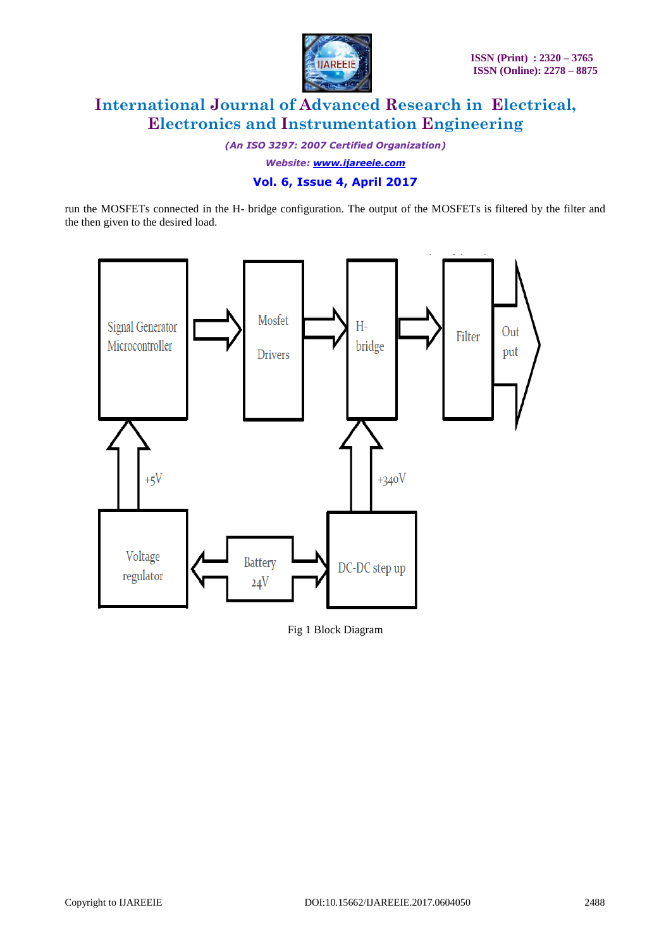

*(An ISO 3297: 2007 Certified Organization)*

*Website: [www.ijareeie.com](http://www.ijareeie.com/)*

### **Vol. 6, Issue 4, April 2017**

run the MOSFETs connected in the H- bridge configuration. The output of the MOSFETs is filtered by the filter and the then given to the desired load.



Fig 1 Block Diagram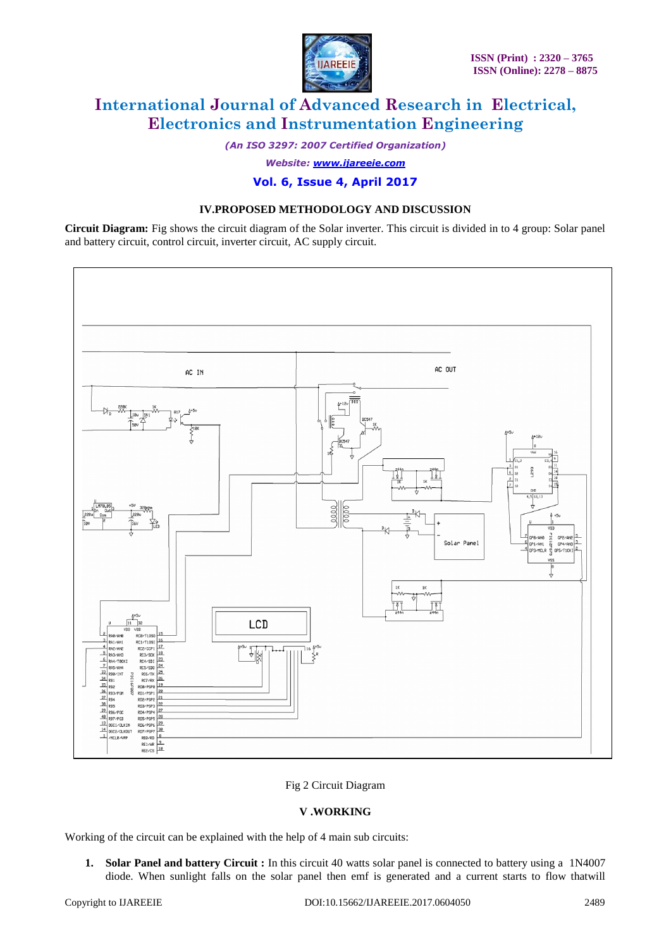

*(An ISO 3297: 2007 Certified Organization)*

*Website: [www.ijareeie.com](http://www.ijareeie.com/)*

### **Vol. 6, Issue 4, April 2017**

#### **IV.PROPOSED METHODOLOGY AND DISCUSSION**

**Circuit Diagram:** Fig shows the circuit diagram of the Solar inverter. This circuit is divided in to 4 group: Solar panel and battery circuit, control circuit, inverter circuit, AC supply circuit.



#### Fig 2 Circuit Diagram

#### **V .WORKING**

Working of the circuit can be explained with the help of 4 main sub circuits:

**1. Solar Panel and battery Circuit :** In this circuit 40 watts solar panel is connected to battery using a 1N4007 diode. When sunlight falls on the solar panel then emf is generated and a current starts to flow thatwill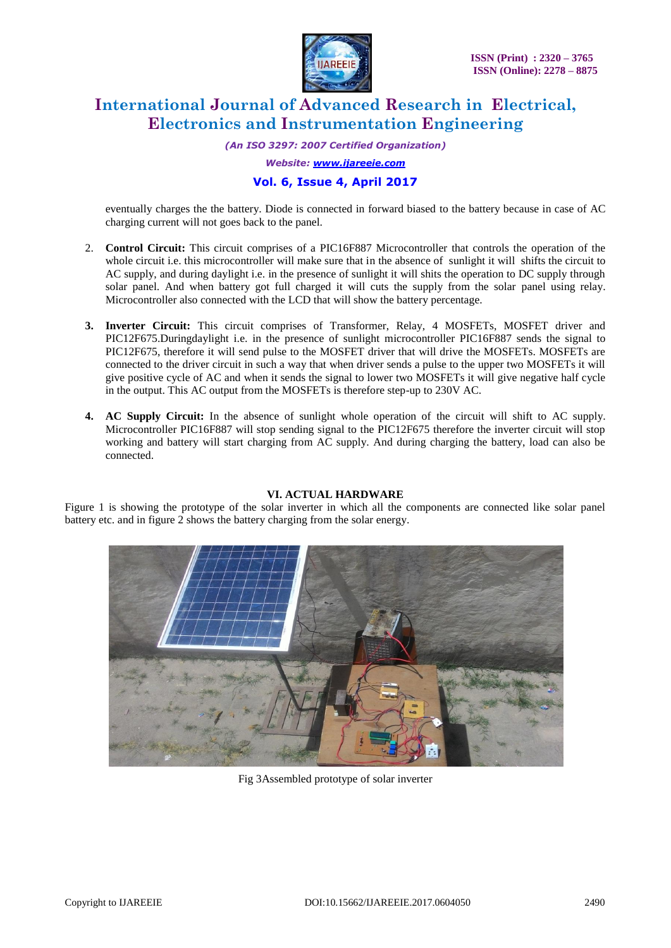

*(An ISO 3297: 2007 Certified Organization)*

*Website: [www.ijareeie.com](http://www.ijareeie.com/)*

### **Vol. 6, Issue 4, April 2017**

eventually charges the the battery. Diode is connected in forward biased to the battery because in case of AC charging current will not goes back to the panel.

- 2. **Control Circuit:** This circuit comprises of a PIC16F887 Microcontroller that controls the operation of the whole circuit i.e. this microcontroller will make sure that in the absence of sunlight it will shifts the circuit to AC supply, and during daylight i.e. in the presence of sunlight it will shits the operation to DC supply through solar panel. And when battery got full charged it will cuts the supply from the solar panel using relay. Microcontroller also connected with the LCD that will show the battery percentage.
- 3. Inverter Circuit: This circuit comprises of Transformer, Relay, 4 MOSFETs, MOSFET driver and PIC12F675.Duringdaylight i.e. in the presence of sunlight microcontroller PIC16F887 sends the signal to PIC12F675, therefore it will send pulse to the MOSFET driver that will drive the MOSFETs. MOSFETs are connected to the driver circuit in such a way that when driver sends a pulse to the upper two MOSFETs it will give positive cycle of AC and when it sends the signal to lower two MOSFETs it will give negative half cycle in the output. This AC output from the MOSFETs is therefore step-up to 230V AC.
- **4. AC Supply Circuit:** In the absence of sunlight whole operation of the circuit will shift to AC supply. Microcontroller PIC16F887 will stop sending signal to the PIC12F675 therefore the inverter circuit will stop working and battery will start charging from AC supply. And during charging the battery, load can also be connected.

#### **VI. ACTUAL HARDWARE**

Figure 1 is showing the prototype of the solar inverter in which all the components are connected like solar panel battery etc. and in figure 2 shows the battery charging from the solar energy.



Fig 3Assembled prototype of solar inverter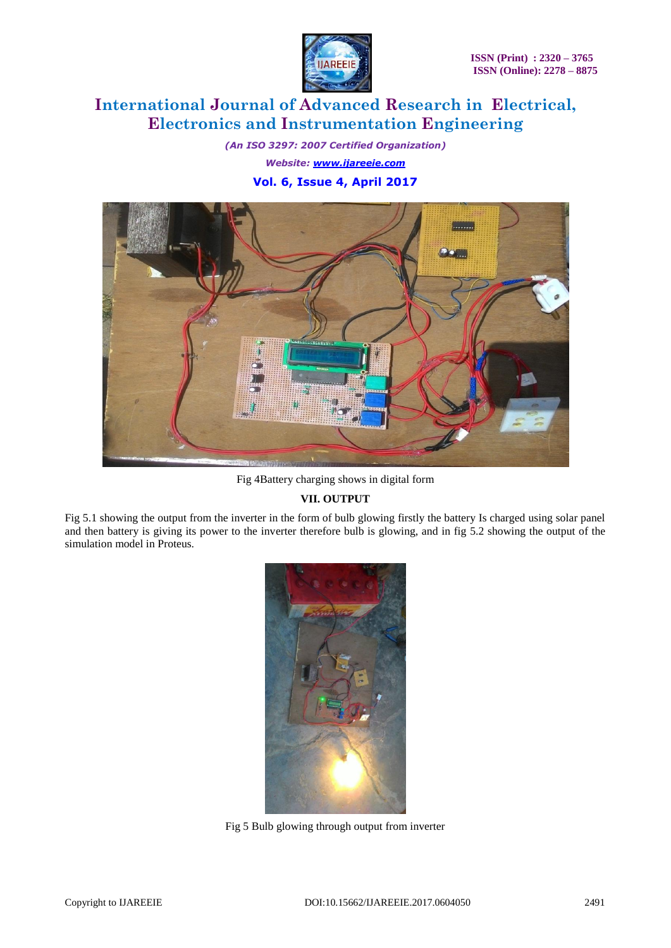

*(An ISO 3297: 2007 Certified Organization) Website: [www.ijareeie.com](http://www.ijareeie.com/)* **Vol. 6, Issue 4, April 2017**



Fig 4Battery charging shows in digital form

### **VII. OUTPUT**

Fig 5.1 showing the output from the inverter in the form of bulb glowing firstly the battery Is charged using solar panel and then battery is giving its power to the inverter therefore bulb is glowing, and in fig 5.2 showing the output of the simulation model in Proteus.



Fig 5 Bulb glowing through output from inverter